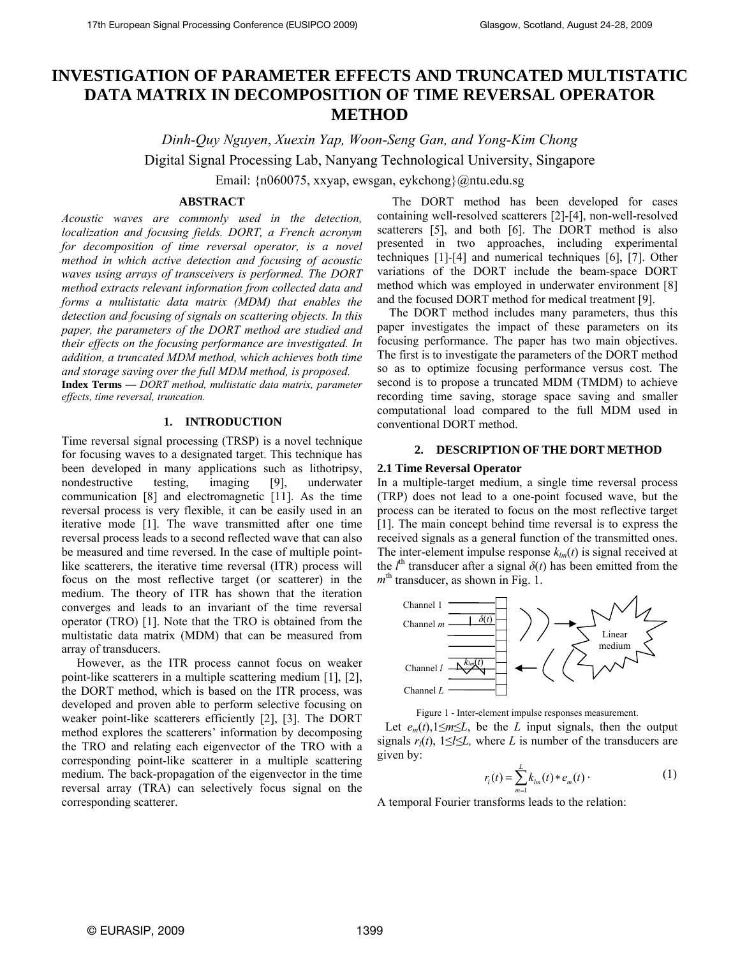# **INVESTIGATION OF PARAMETER EFFECTS AND TRUNCATED MULTISTATIC DATA MATRIX IN DECOMPOSITION OF TIME REVERSAL OPERATOR METHOD**

*Dinh-Quy Nguyen*, *Xuexin Yap, Woon-Seng Gan, and Yong-Kim Chong* Digital Signal Processing Lab, Nanyang Technological University, Singapore

Email: {n060075, xxyap, ewsgan, eykchong}@ntu.edu.sg

## **ABSTRACT**

*Acoustic waves are commonly used in the detection, localization and focusing fields. DORT, a French acronym for decomposition of time reversal operator, is a novel method in which active detection and focusing of acoustic waves using arrays of transceivers is performed. The DORT method extracts relevant information from collected data and forms a multistatic data matrix (MDM) that enables the detection and focusing of signals on scattering objects. In this paper, the parameters of the DORT method are studied and their effects on the focusing performance are investigated. In addition, a truncated MDM method, which achieves both time and storage saving over the full MDM method, is proposed.* 

**Index Terms —** *DORT method, multistatic data matrix, parameter effects, time reversal, truncation.* 

### **1. INTRODUCTION**

Time reversal signal processing (TRSP) is a novel technique for focusing waves to a designated target. This technique has been developed in many applications such as lithotripsy, nondestructive testing, imaging [9], underwater communication [8] and electromagnetic [11]. As the time reversal process is very flexible, it can be easily used in an iterative mode [1]. The wave transmitted after one time reversal process leads to a second reflected wave that can also be measured and time reversed. In the case of multiple pointlike scatterers, the iterative time reversal (ITR) process will focus on the most reflective target (or scatterer) in the medium. The theory of ITR has shown that the iteration converges and leads to an invariant of the time reversal operator (TRO) [1]. Note that the TRO is obtained from the multistatic data matrix (MDM) that can be measured from array of transducers.

 However, as the ITR process cannot focus on weaker point-like scatterers in a multiple scattering medium [1], [2], the DORT method, which is based on the ITR process, was developed and proven able to perform selective focusing on weaker point-like scatterers efficiently [2], [3]. The DORT method explores the scatterers' information by decomposing the TRO and relating each eigenvector of the TRO with a corresponding point-like scatterer in a multiple scattering medium. The back-propagation of the eigenvector in the time reversal array (TRA) can selectively focus signal on the corresponding scatterer.

 The DORT method has been developed for cases containing well-resolved scatterers [2]-[4], non-well-resolved scatterers [5], and both [6]. The DORT method is also presented in two approaches, including experimental techniques [1]-[4] and numerical techniques [6], [7]. Other variations of the DORT include the beam-space DORT method which was employed in underwater environment [8] and the focused DORT method for medical treatment [9].

 The DORT method includes many parameters, thus this paper investigates the impact of these parameters on its focusing performance. The paper has two main objectives. The first is to investigate the parameters of the DORT method so as to optimize focusing performance versus cost. The second is to propose a truncated MDM (TMDM) to achieve recording time saving, storage space saving and smaller computational load compared to the full MDM used in conventional DORT method.

#### **2. DESCRIPTION OF THE DORT METHOD**

#### **2.1 Time Reversal Operator**

In a multiple-target medium, a single time reversal process (TRP) does not lead to a one-point focused wave, but the process can be iterated to focus on the most reflective target [1]. The main concept behind time reversal is to express the received signals as a general function of the transmitted ones. The inter-element impulse response  $k_{lm}(t)$  is signal received at the  $l<sup>th</sup>$  transducer after a signal  $\delta(t)$  has been emitted from the  $m<sup>th</sup>$  transducer, as shown in Fig. 1.



Figure 1 - Inter-element impulse responses measurement.

Let  $e_m(t)$ , 1 $\leq m \leq L$ , be the *L* input signals, then the output signals  $r_l(t)$ ,  $1 \le l \le L$ , where *L* is number of the transducers are given by:

$$
r_{l}(t) = \sum_{m=1}^{L} k_{lm}(t) * e_{m}(t)
$$
 (1)

A temporal Fourier transforms leads to the relation: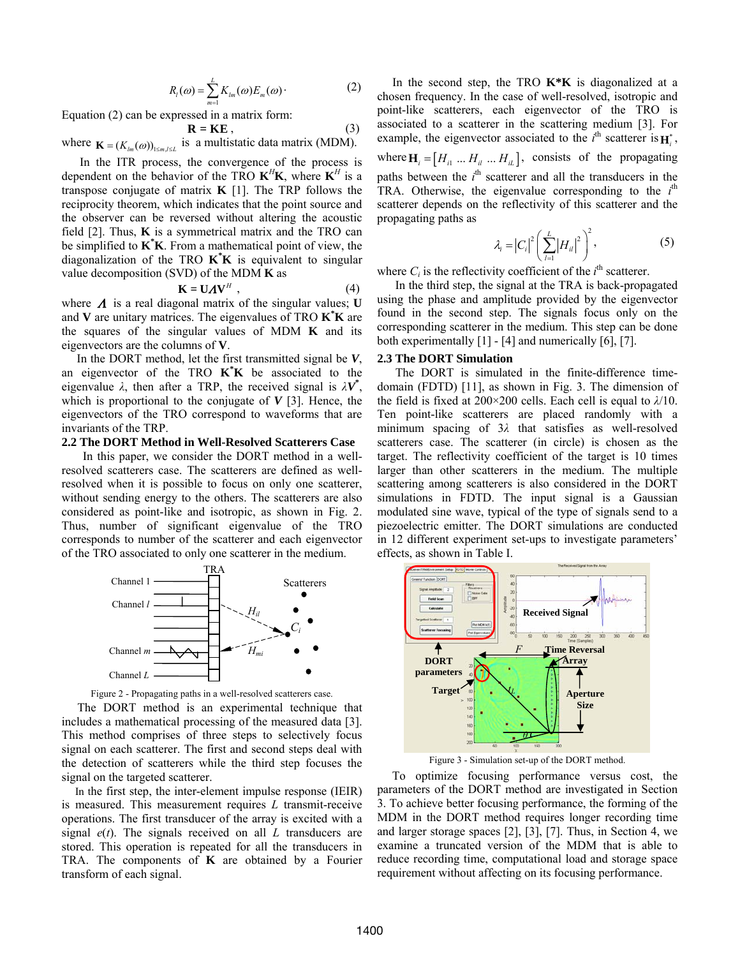$$
R_{l}(\omega) = \sum_{m=1}^{L} K_{lm}(\omega) E_{m}(\omega)
$$
 (2)

Equation (2) can be expressed in a matrix form:

$$
\mathbf{R} = \mathbf{K} \mathbf{E} \tag{3}
$$

where  $\mathbf{K} = (K_{lm}(\omega))_{1 \le m, l \le L}$  is a multistatic data matrix (MDM).

 In the ITR process, the convergence of the process is dependent on the behavior of the TRO  $K^H K$ , where  $K^H$  is a transpose conjugate of matrix **K** [1]. The TRP follows the reciprocity theorem, which indicates that the point source and the observer can be reversed without altering the acoustic field  $[2]$ . Thus, **K** is a symmetrical matrix and the TRO can be simplified to **K\* K**. From a mathematical point of view, the diagonalization of the TRO **K\* K** is equivalent to singular value decomposition (SVD) of the MDM **K** as

$$
\mathbf{K} = \mathbf{U} \mathbf{\Lambda} \mathbf{V}^H \tag{4}
$$

where  $\Lambda$  is a real diagonal matrix of the singular values; **U** and **V** are unitary matrices. The eigenvalues of TRO **K\* K** are the squares of the singular values of MDM **K** and its eigenvectors are the columns of **V**.

 In the DORT method, let the first transmitted signal be *V*, an eigenvector of the TRO **K\* K** be associated to the eigenvalue  $\lambda$ , then after a TRP, the received signal is  $\lambda V^*$ , which is proportional to the conjugate of  $V$  [3]. Hence, the eigenvectors of the TRO correspond to waveforms that are invariants of the TRP.

#### **2.2 The DORT Method in Well-Resolved Scatterers Case**

 In this paper, we consider the DORT method in a wellresolved scatterers case. The scatterers are defined as wellresolved when it is possible to focus on only one scatterer, without sending energy to the others. The scatterers are also considered as point-like and isotropic, as shown in Fig. 2. Thus, number of significant eigenvalue of the TRO corresponds to number of the scatterer and each eigenvector of the TRO associated to only one scatterer in the medium.



Figure 2 - Propagating paths in a well-resolved scatterers case.

 The DORT method is an experimental technique that includes a mathematical processing of the measured data [3]. This method comprises of three steps to selectively focus signal on each scatterer. The first and second steps deal with the detection of scatterers while the third step focuses the signal on the targeted scatterer.

 In the first step, the inter-element impulse response (IEIR) is measured. This measurement requires *L* transmit-receive operations. The first transducer of the array is excited with a signal *e*(*t*). The signals received on all *L* transducers are stored. This operation is repeated for all the transducers in TRA. The components of **K** are obtained by a Fourier transform of each signal.

 In the second step, the TRO **K\*K** is diagonalized at a chosen frequency. In the case of well-resolved, isotropic and point-like scatterers, each eigenvector of the TRO is associated to a scatterer in the scattering medium [3]. For example, the eigenvector associated to the  $i^{\text{th}}$  scatterer is  $\mathbf{H}_i^*$ , where  $\mathbf{H}_i = [H_{i1} \dots H_{i1} \dots H_{iL}]$ , consists of the propagating paths between the  $i<sup>th</sup>$  scatterer and all the transducers in the TRA. Otherwise, the eigenvalue corresponding to the  $i<sup>th</sup>$ scatterer depends on the reflectivity of this scatterer and the propagating paths as

$$
\lambda_{i} = |C_{i}|^{2} \left( \sum_{l=1}^{L} |H_{il}|^{2} \right)^{2}, \tag{5}
$$

where  $C_i$  is the reflectivity coefficient of the  $i^{\text{th}}$  scatterer.

 In the third step, the signal at the TRA is back-propagated using the phase and amplitude provided by the eigenvector found in the second step. The signals focus only on the corresponding scatterer in the medium. This step can be done both experimentally  $[1]$  -  $[4]$  and numerically  $[6]$ ,  $[7]$ .

### **2.3 The DORT Simulation**

 The DORT is simulated in the finite-difference timedomain (FDTD) [11], as shown in Fig. 3. The dimension of the field is fixed at 200×200 cells. Each cell is equal to *λ*/10. Ten point-like scatterers are placed randomly with a minimum spacing of 3*λ* that satisfies as well-resolved scatterers case. The scatterer (in circle) is chosen as the target. The reflectivity coefficient of the target is 10 times larger than other scatterers in the medium. The multiple scattering among scatterers is also considered in the DORT simulations in FDTD. The input signal is a Gaussian modulated sine wave, typical of the type of signals send to a piezoelectric emitter. The DORT simulations are conducted in 12 different experiment set-ups to investigate parameters' effects, as shown in Table I.



Figure 3 - Simulation set-up of the DORT method.

 To optimize focusing performance versus cost, the parameters of the DORT method are investigated in Section 3. To achieve better focusing performance, the forming of the MDM in the DORT method requires longer recording time and larger storage spaces [2], [3], [7]. Thus, in Section 4, we examine a truncated version of the MDM that is able to reduce recording time, computational load and storage space requirement without affecting on its focusing performance.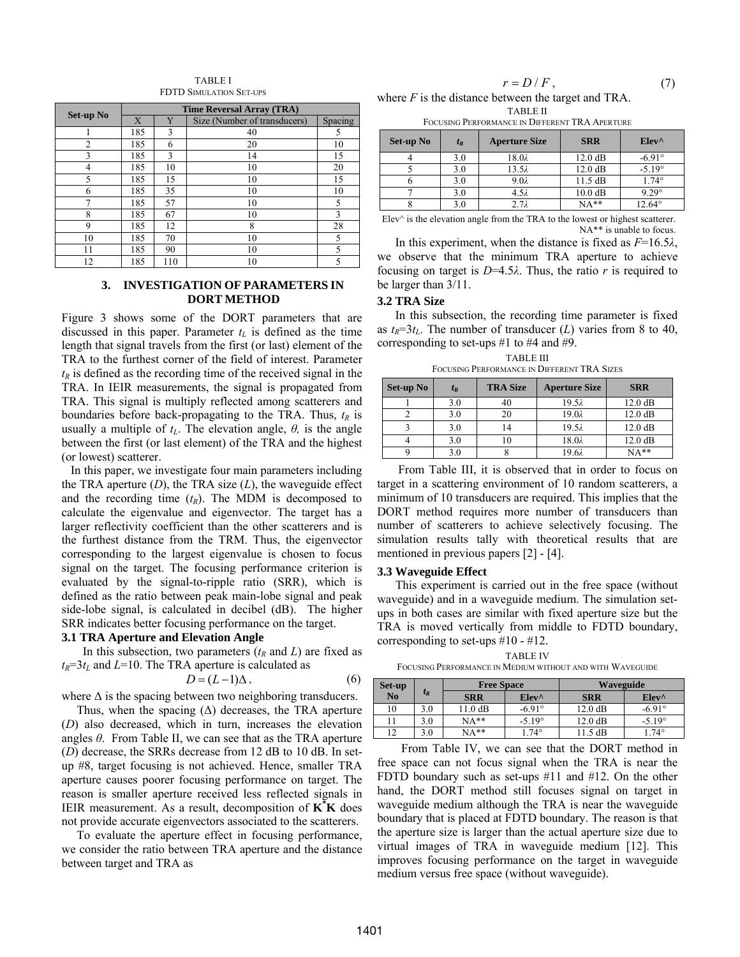TABLE I FDTD SIMULATION SET-UPS

|                | <b>Time Reversal Array (TRA)</b> |     |                              |         |  |
|----------------|----------------------------------|-----|------------------------------|---------|--|
| Set-up No      | X                                | Y   | Size (Number of transducers) | Spacing |  |
|                | 185                              | 3   | 40                           | 5       |  |
| $\overline{2}$ | 185                              | 6   | 20                           | 10      |  |
| 3              | 185                              | 3   | 14                           | 15      |  |
| 4              | 185                              | 10  | 10                           | 20      |  |
| 5              | 185                              | 15  | 10                           | 15      |  |
| 6              | 185                              | 35  | 10                           | 10      |  |
| $\mathcal{I}$  | 185                              | 57  | 10                           | 5       |  |
| 8              | 185                              | 67  | 10                           | 3       |  |
| 9              | 185                              | 12  | 8                            | 28      |  |
| 10             | 185                              | 70  | 10                           | 5       |  |
| 11             | 185                              | 90  | 10                           | 5       |  |
| 12             | 185                              | 110 | 10                           | 5       |  |

## **3. INVESTIGATION OF PARAMETERS IN DORT METHOD**

Figure 3 shows some of the DORT parameters that are discussed in this paper. Parameter  $t_L$  is defined as the time length that signal travels from the first (or last) element of the TRA to the furthest corner of the field of interest. Parameter  $t<sub>R</sub>$  is defined as the recording time of the received signal in the TRA. In IEIR measurements, the signal is propagated from TRA. This signal is multiply reflected among scatterers and boundaries before back-propagating to the TRA. Thus,  $t_R$  is usually a multiple of  $t_L$ . The elevation angle,  $\theta$ , is the angle between the first (or last element) of the TRA and the highest (or lowest) scatterer.

 In this paper, we investigate four main parameters including the TRA aperture (*D*), the TRA size (*L*), the waveguide effect and the recording time  $(t_R)$ . The MDM is decomposed to calculate the eigenvalue and eigenvector. The target has a larger reflectivity coefficient than the other scatterers and is the furthest distance from the TRM. Thus, the eigenvector corresponding to the largest eigenvalue is chosen to focus signal on the target. The focusing performance criterion is evaluated by the signal-to-ripple ratio (SRR), which is defined as the ratio between peak main-lobe signal and peak side-lobe signal, is calculated in decibel (dB). The higher SRR indicates better focusing performance on the target.

#### **3.1 TRA Aperture and Elevation Angle**

In this subsection, two parameters  $(t_R \text{ and } L)$  are fixed as  $t_R$ =3 $t_L$  and *L*=10. The TRA aperture is calculated as

$$
D = (L-1)\Delta, \qquad (6)
$$

where  $\Delta$  is the spacing between two neighboring transducers.

Thus, when the spacing  $(\Delta)$  decreases, the TRA aperture (*D*) also decreased, which in turn, increases the elevation angles *θ*. From Table II, we can see that as the TRA aperture (*D*) decrease, the SRRs decrease from 12 dB to 10 dB. In setup #8, target focusing is not achieved. Hence, smaller TRA aperture causes poorer focusing performance on target. The reason is smaller aperture received less reflected signals in IEIR measurement. As a result, decomposition of  $K^*K$  does not provide accurate eigenvectors associated to the scatterers.

 To evaluate the aperture effect in focusing performance, we consider the ratio between TRA aperture and the distance between target and TRA as

| $r = D/F$ ,                                                   |  |
|---------------------------------------------------------------|--|
| where $E$ is the distance between the terest and TD $\lambda$ |  |

where *F* is the distance between the target and TRA. TABLE II

FOCUSING PERFORMANCE IN DIFFERENT TRA APERTURE

| Set-up No | $t_R$ | <b>Aperture Size</b> | <b>SRR</b>        | $Elev^{\wedge}$ |
|-----------|-------|----------------------|-------------------|-----------------|
|           | 3.0   | $18.0\lambda$        | $12.0 \text{ dB}$ | $-6.91^{\circ}$ |
|           | 3.0   | $13.5\lambda$        | $12.0 \text{ dB}$ | $-5.19^{\circ}$ |
|           | 3.0   | $9.0\lambda$         | $11.5$ dB         | $1.74^\circ$    |
|           | 3.0   | $4.5\lambda$         | $10.0 \text{ dB}$ | $9.29^\circ$    |
|           | 3.0   | $2.7\lambda$         | $NA**$            | $12.64^\circ$   |

Elev $\land$  is the elevation angle from the TRA to the lowest or highest scatterer. NA\*\* is unable to focus.

 In this experiment, when the distance is fixed as *F*=16.5*λ*, we observe that the minimum TRA aperture to achieve focusing on target is *D*=4.5*λ*. Thus, the ratio *r* is required to be larger than 3/11.

#### **3.2 TRA Size**

 In this subsection, the recording time parameter is fixed as  $t_R = 3t_L$ . The number of transducer (*L*) varies from 8 to 40, corresponding to set-ups #1 to #4 and #9.

TABLE III FOCUSING PERFORMANCE IN DIFFERENT TRA SIZES

| Set-up No | $t_R$ | <b>TRA Size</b> | <b>Aperture Size</b> | <b>SRR</b>        |
|-----------|-------|-----------------|----------------------|-------------------|
|           | 3.0   | 40              | $19.5\lambda$        | $12.0 \text{ dB}$ |
|           | 3.0   | 20              | $19.0\lambda$        | $12.0 \text{ dB}$ |
|           | 3.0   | 14              | $19.5\lambda$        | $12.0 \text{ dB}$ |
|           | 3.0   | l O             | $18.0\lambda$        | $12.0 \text{ dB}$ |
|           | 3.0   |                 | 19.6λ                | $NA**$            |

 From Table III, it is observed that in order to focus on target in a scattering environment of 10 random scatterers, a minimum of 10 transducers are required. This implies that the DORT method requires more number of transducers than number of scatterers to achieve selectively focusing. The simulation results tally with theoretical results that are mentioned in previous papers [2] - [4].

#### **3.3 Waveguide Effect**

 This experiment is carried out in the free space (without waveguide) and in a waveguide medium. The simulation setups in both cases are similar with fixed aperture size but the TRA is moved vertically from middle to FDTD boundary, corresponding to set-ups #10 - #12.

TABLE IV

FOCUSING PERFORMANCE IN MEDIUM WITHOUT AND WITH WAVEGUIDE

| Set-up         |       | <b>Free Space</b> |                 | <b>Waveguide</b>  |                 |  |
|----------------|-------|-------------------|-----------------|-------------------|-----------------|--|
| N <sub>0</sub> | $t_R$ | <b>SRR</b>        | $Elev^{\wedge}$ | <b>SRR</b>        | $Elev^{\wedge}$ |  |
| 10             | 3.0   | $11.0 \text{ dB}$ | $-6.91^{\circ}$ | $12.0 \text{ dB}$ | $-6.91^{\circ}$ |  |
|                | 3.0   | $NA**$            | $-5.19^{\circ}$ | $12.0 \text{ dB}$ | $-5.19^{\circ}$ |  |
| $\overline{1}$ | 3.0   | $NA**$            | $74^{\circ}$    | $11.5 \text{ dB}$ | $1.74^{\circ}$  |  |

 From Table IV, we can see that the DORT method in free space can not focus signal when the TRA is near the FDTD boundary such as set-ups #11 and #12. On the other hand, the DORT method still focuses signal on target in waveguide medium although the TRA is near the waveguide boundary that is placed at FDTD boundary. The reason is that the aperture size is larger than the actual aperture size due to virtual images of TRA in waveguide medium [12]. This improves focusing performance on the target in waveguide medium versus free space (without waveguide).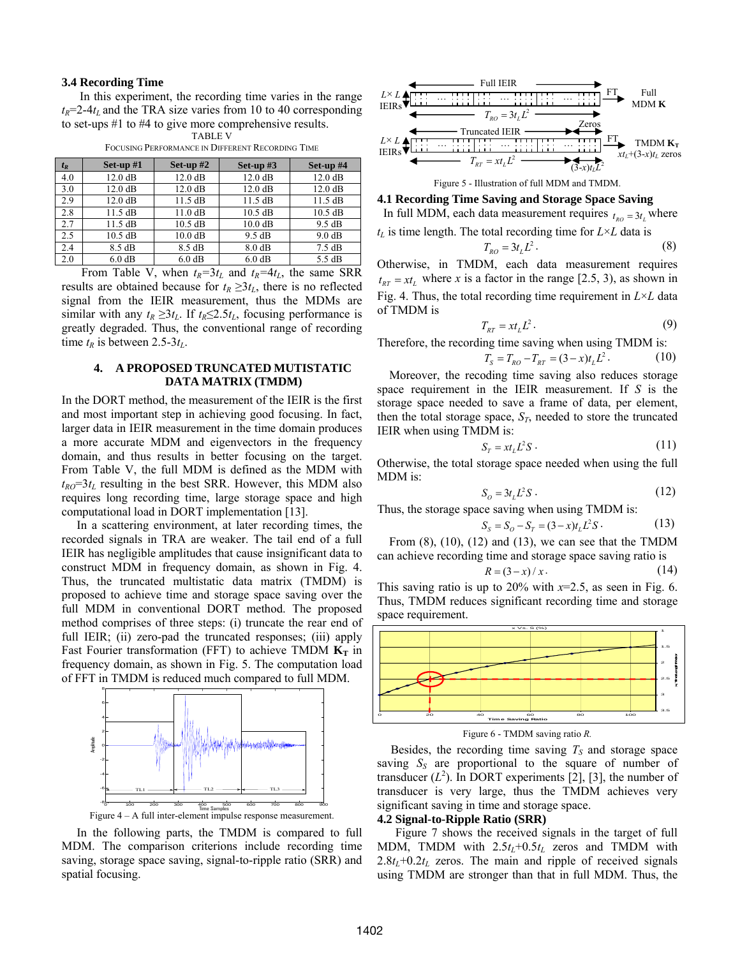#### **3.4 Recording Time**

 In this experiment, the recording time varies in the range  $t_R$ =2-4 $t_L$  and the TRA size varies from 10 to 40 corresponding to set-ups #1 to #4 to give more comprehensive results. TABLE V

| $t_R$ | Set-up $#1$       | Set-up $#2$       | Set-up $#3$       | Set-up $#4$       |
|-------|-------------------|-------------------|-------------------|-------------------|
| 4.0   | $12.0 \text{ dB}$ | $12.0 \text{ dB}$ | $12.0 \text{ dB}$ | $12.0 \text{ dB}$ |
| 3.0   | $12.0 \text{ dB}$ | 12.0 dB           | $12.0 \text{ dB}$ | 12.0 dB           |
| 2.9   | $12.0 \text{ dB}$ | $11.5$ dB         | $11.5$ dB         | $11.5$ dB         |
| 2.8   | $11.5 \text{ dB}$ | $11.0 \text{ dB}$ | $10.5$ dB         | $10.5$ dB         |
| 2.7   | $11.5 \text{ dB}$ | $10.5$ dB         | $10.0$ dB         | 9.5 dB            |
| 2.5   | $10.5$ dB         | 10.0 dB           | 9.5 dB            | 9.0 dB            |
| 2.4   | 8.5 dB            | 8.5 dB            | 8.0 dB            | $7.5 \text{ dB}$  |
| 2.0   | 6.0 dB            | 6.0 dB            | 6.0 dB            | 5.5 dB            |

FOCUSING PERFORMANCE IN DIFFERENT RECORDING TIME

From Table V, when  $t_R=3t_L$  and  $t_R=4t_L$ , the same SRR results are obtained because for  $t_R \geq 3t_L$ , there is no reflected signal from the IEIR measurement, thus the MDMs are similar with any  $t_R \geq 3t_L$ . If  $t_R \leq 2.5t_L$ , focusing performance is greatly degraded. Thus, the conventional range of recording time  $t_R$  is between 2.5-3 $t_L$ .

## **4. A PROPOSED TRUNCATED MUTISTATIC DATA MATRIX (TMDM)**

In the DORT method, the measurement of the IEIR is the first and most important step in achieving good focusing. In fact, larger data in IEIR measurement in the time domain produces a more accurate MDM and eigenvectors in the frequency domain, and thus results in better focusing on the target. From Table V, the full MDM is defined as the MDM with  $t_{RO} = 3t_L$  resulting in the best SRR. However, this MDM also requires long recording time, large storage space and high computational load in DORT implementation [13].

 In a scattering environment, at later recording times, the recorded signals in TRA are weaker. The tail end of a full IEIR has negligible amplitudes that cause insignificant data to construct MDM in frequency domain, as shown in Fig. 4. Thus, the truncated multistatic data matrix (TMDM) is proposed to achieve time and storage space saving over the full MDM in conventional DORT method. The proposed method comprises of three steps: (i) truncate the rear end of full IEIR; (ii) zero-pad the truncated responses; (iii) apply Fast Fourier transformation (FFT) to achieve TMDM  $K_T$  in frequency domain, as shown in Fig. 5. The computation load of FFT in TMDM is reduced much compared to full MDM.



 In the following parts, the TMDM is compared to full MDM. The comparison criterions include recording time saving, storage space saving, signal-to-ripple ratio (SRR) and spatial focusing.



**4.1 Recording Time Saving and Storage Space Saving** 

In full MDM, each data measurement requires  $t_{RO} = 3t_L$  where

 $t_L$  is time length. The total recording time for  $L \times L$  data is

$$
T_{RO} = 3t_L L^2. \tag{8}
$$

Otherwise, in TMDM, each data measurement requires  $t_{\text{RT}} = xt_t$ , where *x* is a factor in the range [2.5, 3), as shown in Fig. 4. Thus, the total recording time requirement in *L*×*L* data of TMDM is

$$
T_{RT} = xt_L L^2. \tag{9}
$$

Therefore, the recording time saving when using TMDM is:

$$
T_s = T_{RO} - T_{RT} = (3 - x)t_L L^2.
$$
 (10)

 Moreover, the recoding time saving also reduces storage space requirement in the IEIR measurement. If *S* is the storage space needed to save a frame of data, per element, then the total storage space,  $S_T$ , needed to store the truncated IEIR when using TMDM is:

$$
S_T = xt_L L^2 S \t\t(11)
$$

Otherwise, the total storage space needed when using the full MDM is:

$$
S_o = 3t_L L^2 S \tag{12}
$$

Thus, the storage space saving when using TMDM is:

$$
S_s = S_O - S_T = (3 - x)t_L L^2 S \,. \tag{13}
$$

From  $(8)$ ,  $(10)$ ,  $(12)$  and  $(13)$ , we can see that the TMDM can achieve recording time and storage space saving ratio is  $R = (3-x)/x$  (14)

$$
R = (3-x)/x \tag{14}
$$

This saving ratio is up to 20% with  $x=2.5$ , as seen in Fig. 6. Thus, TMDM reduces significant recording time and storage space requirement.



Figure 6 - TMDM saving ratio *R.*

Besides, the recording time saving  $T<sub>S</sub>$  and storage space saving  $S<sub>S</sub>$  are proportional to the square of number of transducer  $(L^2)$ . In DORT experiments [2], [3], the number of transducer is very large, thus the TMDM achieves very significant saving in time and storage space.

#### **4.2 Signal-to-Ripple Ratio (SRR)**

 Figure 7 shows the received signals in the target of full MDM, TMDM with  $2.5t_L+0.5t_L$  zeros and TMDM with  $2.8t_L+0.2t_L$  zeros. The main and ripple of received signals using TMDM are stronger than that in full MDM. Thus, the